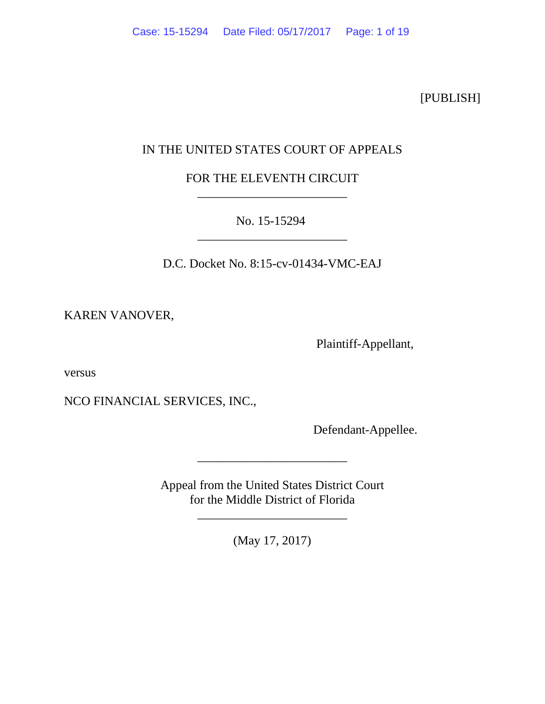[PUBLISH]

# IN THE UNITED STATES COURT OF APPEALS

FOR THE ELEVENTH CIRCUIT \_\_\_\_\_\_\_\_\_\_\_\_\_\_\_\_\_\_\_\_\_\_\_\_

No. 15-15294 \_\_\_\_\_\_\_\_\_\_\_\_\_\_\_\_\_\_\_\_\_\_\_\_

D.C. Docket No. 8:15-cv-01434-VMC-EAJ

KAREN VANOVER,

Plaintiff-Appellant,

versus

NCO FINANCIAL SERVICES, INC.,

Defendant-Appellee.

Appeal from the United States District Court for the Middle District of Florida

\_\_\_\_\_\_\_\_\_\_\_\_\_\_\_\_\_\_\_\_\_\_\_\_

(May 17, 2017)

\_\_\_\_\_\_\_\_\_\_\_\_\_\_\_\_\_\_\_\_\_\_\_\_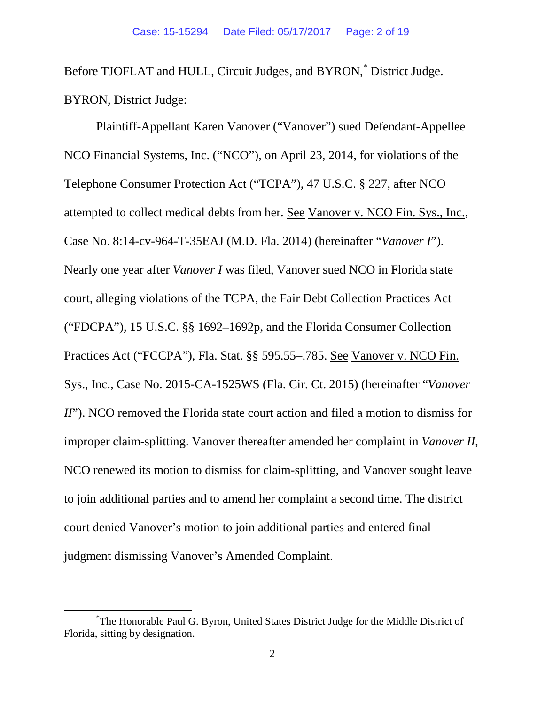Before TJOFLAT and HULL, Circuit Judges, and BYRON,<sup>[\\*](#page-1-0)</sup> District Judge. BYRON, District Judge:

Plaintiff-Appellant Karen Vanover ("Vanover") sued Defendant-Appellee NCO Financial Systems, Inc. ("NCO"), on April 23, 2014, for violations of the Telephone Consumer Protection Act ("TCPA"), 47 U.S.C. § 227, after NCO attempted to collect medical debts from her. See Vanover v. NCO Fin. Sys., Inc., Case No. 8:14-cv-964-T-35EAJ (M.D. Fla. 2014) (hereinafter "*Vanover I*"). Nearly one year after *Vanover I* was filed, Vanover sued NCO in Florida state court, alleging violations of the TCPA, the Fair Debt Collection Practices Act ("FDCPA"), 15 U.S.C. §§ 1692–1692p, and the Florida Consumer Collection Practices Act ("FCCPA"), Fla. Stat. §§ 595.55–.785. See Vanover v. NCO Fin. Sys., Inc., Case No. 2015-CA-1525WS (Fla. Cir. Ct. 2015) (hereinafter "*Vanover II*"). NCO removed the Florida state court action and filed a motion to dismiss for improper claim-splitting. Vanover thereafter amended her complaint in *Vanover II*, NCO renewed its motion to dismiss for claim-splitting, and Vanover sought leave to join additional parties and to amend her complaint a second time. The district court denied Vanover's motion to join additional parties and entered final judgment dismissing Vanover's Amended Complaint.

<span id="page-1-0"></span> <sup>\*</sup> The Honorable Paul G. Byron, United States District Judge for the Middle District of Florida, sitting by designation.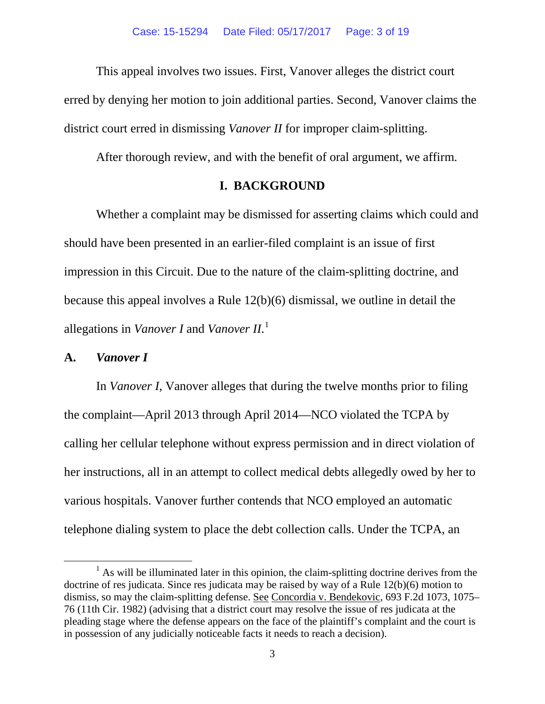This appeal involves two issues. First, Vanover alleges the district court erred by denying her motion to join additional parties. Second, Vanover claims the district court erred in dismissing *Vanover II* for improper claim-splitting.

After thorough review, and with the benefit of oral argument, we affirm.

### **I. BACKGROUND**

Whether a complaint may be dismissed for asserting claims which could and should have been presented in an earlier-filed complaint is an issue of first impression in this Circuit. Due to the nature of the claim-splitting doctrine, and because this appeal involves a Rule 12(b)(6) dismissal, we outline in detail the allegations in *Vanover I* and *Vanover II*. [1](#page-2-0)

# **A.** *Vanover I*

In *Vanover I*, Vanover alleges that during the twelve months prior to filing the complaint—April 2013 through April 2014—NCO violated the TCPA by calling her cellular telephone without express permission and in direct violation of her instructions, all in an attempt to collect medical debts allegedly owed by her to various hospitals. Vanover further contends that NCO employed an automatic telephone dialing system to place the debt collection calls. Under the TCPA, an

<span id="page-2-0"></span> $<sup>1</sup>$  As will be illuminated later in this opinion, the claim-splitting doctrine derives from the</sup> doctrine of res judicata. Since res judicata may be raised by way of a Rule 12(b)(6) motion to dismiss, so may the claim-splitting defense. See Concordia v. Bendekovic, 693 F.2d 1073, 1075– 76 (11th Cir. 1982) (advising that a district court may resolve the issue of res judicata at the pleading stage where the defense appears on the face of the plaintiff's complaint and the court is in possession of any judicially noticeable facts it needs to reach a decision).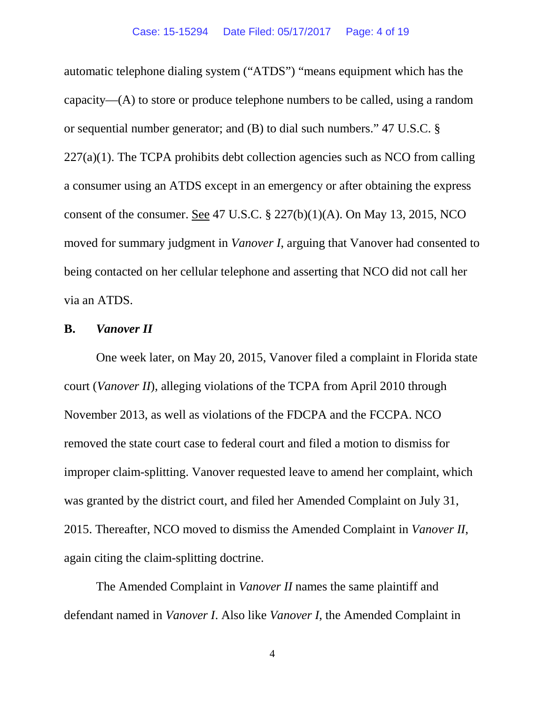automatic telephone dialing system ("ATDS") "means equipment which has the capacity—(A) to store or produce telephone numbers to be called, using a random or sequential number generator; and (B) to dial such numbers." 47 U.S.C. §  $227(a)(1)$ . The TCPA prohibits debt collection agencies such as NCO from calling a consumer using an ATDS except in an emergency or after obtaining the express consent of the consumer. <u>See</u> 47 U.S.C.  $\S$  227(b)(1)(A). On May 13, 2015, NCO moved for summary judgment in *Vanover I*, arguing that Vanover had consented to being contacted on her cellular telephone and asserting that NCO did not call her via an ATDS.

### **B.** *Vanover II*

One week later, on May 20, 2015, Vanover filed a complaint in Florida state court (*Vanover II*), alleging violations of the TCPA from April 2010 through November 2013, as well as violations of the FDCPA and the FCCPA. NCO removed the state court case to federal court and filed a motion to dismiss for improper claim-splitting. Vanover requested leave to amend her complaint, which was granted by the district court, and filed her Amended Complaint on July 31, 2015. Thereafter, NCO moved to dismiss the Amended Complaint in *Vanover II*, again citing the claim-splitting doctrine.

The Amended Complaint in *Vanover II* names the same plaintiff and defendant named in *Vanover I*. Also like *Vanover I*, the Amended Complaint in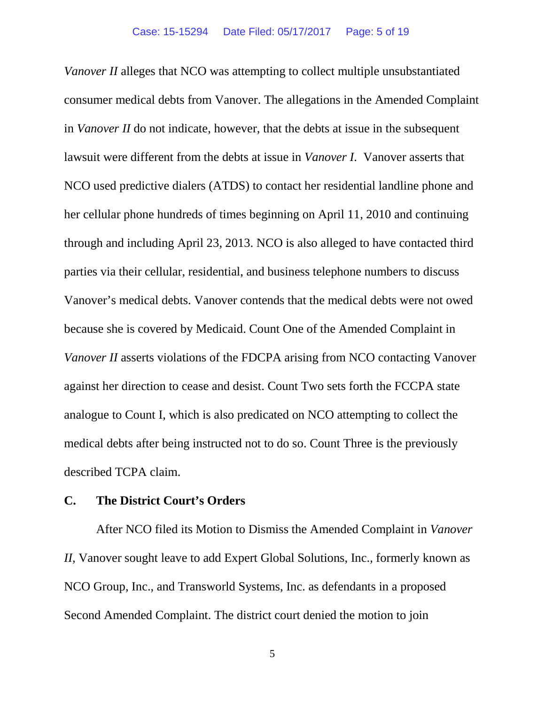*Vanover II* alleges that NCO was attempting to collect multiple unsubstantiated consumer medical debts from Vanover. The allegations in the Amended Complaint in *Vanover II* do not indicate, however, that the debts at issue in the subsequent lawsuit were different from the debts at issue in *Vanover I*. Vanover asserts that NCO used predictive dialers (ATDS) to contact her residential landline phone and her cellular phone hundreds of times beginning on April 11, 2010 and continuing through and including April 23, 2013. NCO is also alleged to have contacted third parties via their cellular, residential, and business telephone numbers to discuss Vanover's medical debts. Vanover contends that the medical debts were not owed because she is covered by Medicaid. Count One of the Amended Complaint in *Vanover II* asserts violations of the FDCPA arising from NCO contacting Vanover against her direction to cease and desist. Count Two sets forth the FCCPA state analogue to Count I, which is also predicated on NCO attempting to collect the medical debts after being instructed not to do so. Count Three is the previously described TCPA claim.

### **C. The District Court's Orders**

After NCO filed its Motion to Dismiss the Amended Complaint in *Vanover II*, Vanover sought leave to add Expert Global Solutions, Inc., formerly known as NCO Group, Inc., and Transworld Systems, Inc. as defendants in a proposed Second Amended Complaint. The district court denied the motion to join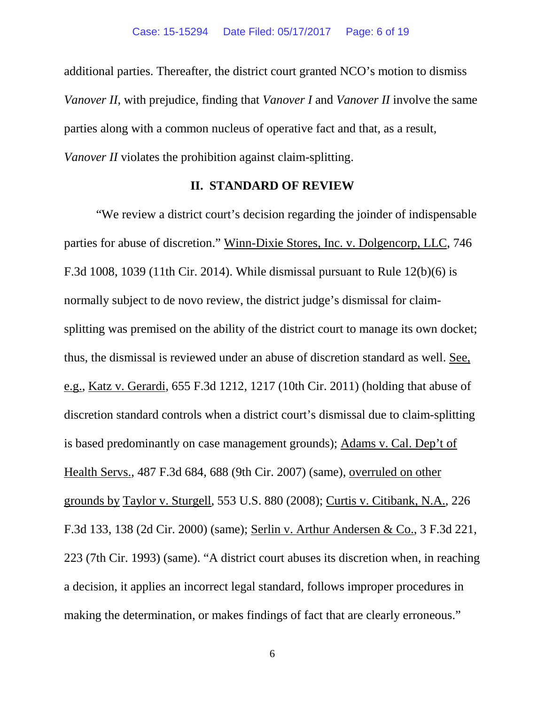additional parties. Thereafter, the district court granted NCO's motion to dismiss *Vanover II*, with prejudice, finding that *Vanover I* and *Vanover II* involve the same parties along with a common nucleus of operative fact and that, as a result, *Vanover II* violates the prohibition against claim-splitting.

### **II. STANDARD OF REVIEW**

"We review a district court's decision regarding the joinder of indispensable parties for abuse of discretion." Winn-Dixie Stores, Inc. v. Dolgencorp, LLC, 746 F.3d 1008, 1039 (11th Cir. 2014). While dismissal pursuant to Rule 12(b)(6) is normally subject to de novo review, the district judge's dismissal for claimsplitting was premised on the ability of the district court to manage its own docket; thus, the dismissal is reviewed under an abuse of discretion standard as well. See, e.g., Katz v. Gerardi, 655 F.3d 1212, 1217 (10th Cir. 2011) (holding that abuse of discretion standard controls when a district court's dismissal due to claim-splitting is based predominantly on case management grounds); Adams v. Cal. Dep't of Health Servs., 487 F.3d 684, 688 (9th Cir. 2007) (same), overruled on other grounds by Taylor v. Sturgell, 553 U.S. 880 (2008); Curtis v. Citibank, N.A., 226 F.3d 133, 138 (2d Cir. 2000) (same); Serlin v. Arthur Andersen & Co., 3 F.3d 221, 223 (7th Cir. 1993) (same). "A district court abuses its discretion when, in reaching a decision, it applies an incorrect legal standard, follows improper procedures in making the determination, or makes findings of fact that are clearly erroneous."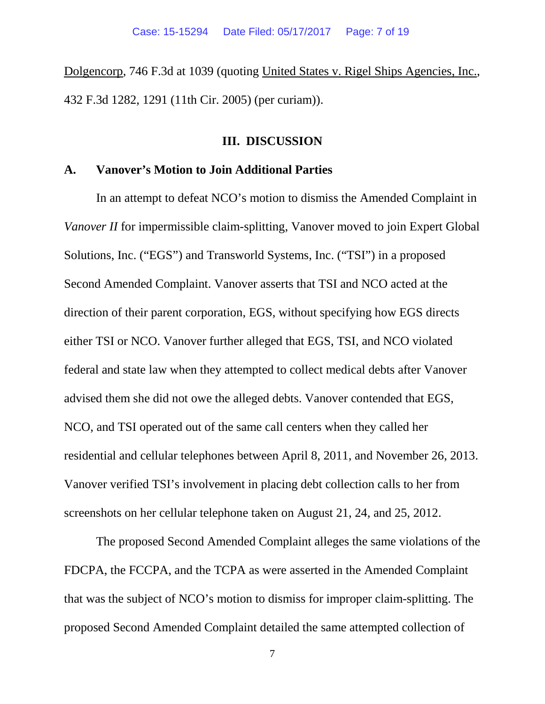Dolgencorp, 746 F.3d at 1039 (quoting United States v. Rigel Ships Agencies, Inc., 432 F.3d 1282, 1291 (11th Cir. 2005) (per curiam)).

#### **III. DISCUSSION**

#### **A. Vanover's Motion to Join Additional Parties**

In an attempt to defeat NCO's motion to dismiss the Amended Complaint in *Vanover II* for impermissible claim-splitting, Vanover moved to join Expert Global Solutions, Inc. ("EGS") and Transworld Systems, Inc. ("TSI") in a proposed Second Amended Complaint. Vanover asserts that TSI and NCO acted at the direction of their parent corporation, EGS, without specifying how EGS directs either TSI or NCO. Vanover further alleged that EGS, TSI, and NCO violated federal and state law when they attempted to collect medical debts after Vanover advised them she did not owe the alleged debts. Vanover contended that EGS, NCO, and TSI operated out of the same call centers when they called her residential and cellular telephones between April 8, 2011, and November 26, 2013. Vanover verified TSI's involvement in placing debt collection calls to her from screenshots on her cellular telephone taken on August 21, 24, and 25, 2012.

The proposed Second Amended Complaint alleges the same violations of the FDCPA, the FCCPA, and the TCPA as were asserted in the Amended Complaint that was the subject of NCO's motion to dismiss for improper claim-splitting. The proposed Second Amended Complaint detailed the same attempted collection of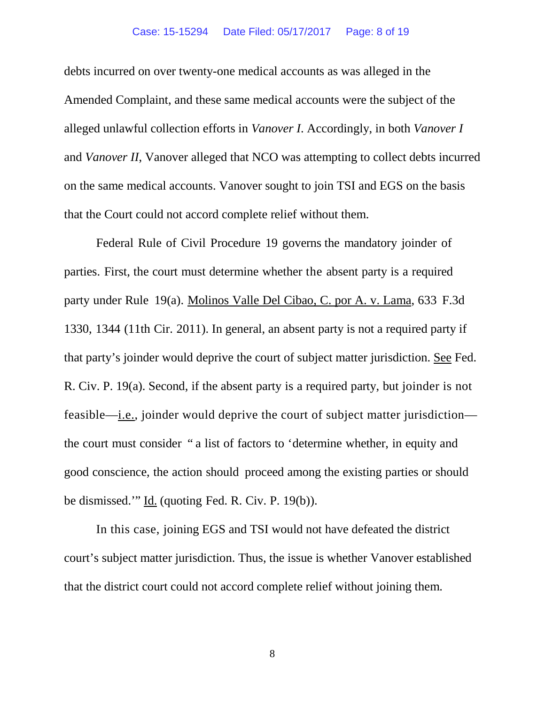#### Case: 15-15294 Date Filed: 05/17/2017 Page: 8 of 19

debts incurred on over twenty-one medical accounts as was alleged in the Amended Complaint, and these same medical accounts were the subject of the alleged unlawful collection efforts in *Vanover I*. Accordingly, in both *Vanover I* and *Vanover II*, Vanover alleged that NCO was attempting to collect debts incurred on the same medical accounts. Vanover sought to join TSI and EGS on the basis that the Court could not accord complete relief without them.

Federal Rule of Civil Procedure 19 governs the mandatory joinder of parties. First, the court must determine whether the absent party is a required party under Rule 19(a). Molinos Valle Del Cibao, C. por A. v. Lama, 633 F.3d 1330, 1344 (11th Cir. 2011). In general, an absent party is not a required party if that party's joinder would deprive the court of subject matter jurisdiction. See Fed. R. Civ. P. 19(a). Second, if the absent party is a required party, but joinder is not feasible—i.e., joinder would deprive the court of subject matter jurisdiction the court must consider " a list of factors to 'determine whether, in equity and good conscience, the action should proceed among the existing parties or should be dismissed.'" Id. (quoting Fed. R. Civ. P. 19(b)).

In this case, joining EGS and TSI would not have defeated the district court's subject matter jurisdiction. Thus, the issue is whether Vanover established that the district court could not accord complete relief without joining them.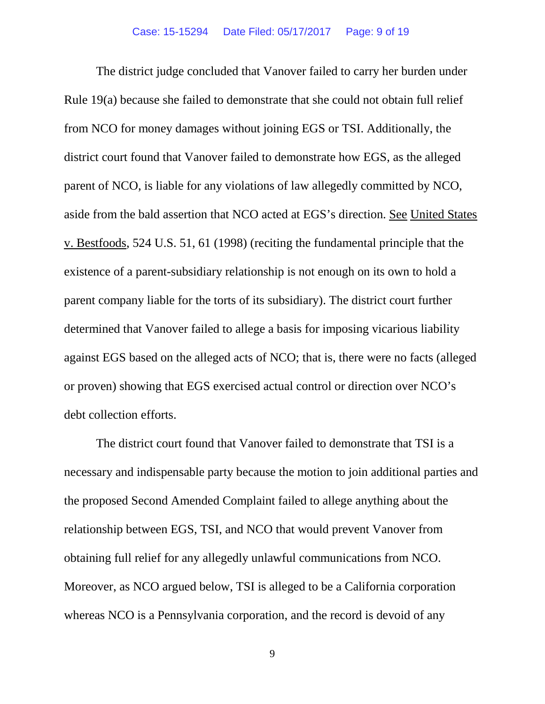The district judge concluded that Vanover failed to carry her burden under Rule 19(a) because she failed to demonstrate that she could not obtain full relief from NCO for money damages without joining EGS or TSI. Additionally, the district court found that Vanover failed to demonstrate how EGS, as the alleged parent of NCO, is liable for any violations of law allegedly committed by NCO, aside from the bald assertion that NCO acted at EGS's direction. See United States v. Bestfoods, 524 U.S. 51, 61 (1998) (reciting the fundamental principle that the existence of a parent-subsidiary relationship is not enough on its own to hold a parent company liable for the torts of its subsidiary). The district court further determined that Vanover failed to allege a basis for imposing vicarious liability against EGS based on the alleged acts of NCO; that is, there were no facts (alleged or proven) showing that EGS exercised actual control or direction over NCO's debt collection efforts.

The district court found that Vanover failed to demonstrate that TSI is a necessary and indispensable party because the motion to join additional parties and the proposed Second Amended Complaint failed to allege anything about the relationship between EGS, TSI, and NCO that would prevent Vanover from obtaining full relief for any allegedly unlawful communications from NCO. Moreover, as NCO argued below, TSI is alleged to be a California corporation whereas NCO is a Pennsylvania corporation, and the record is devoid of any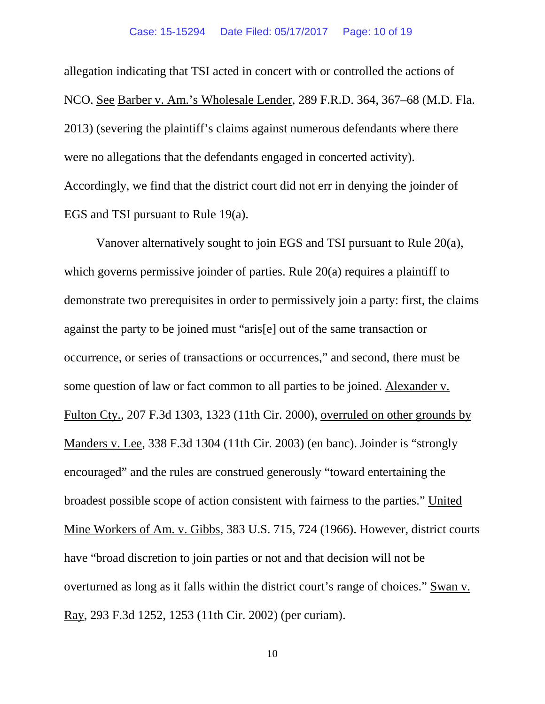allegation indicating that TSI acted in concert with or controlled the actions of NCO. See Barber v. Am.'s Wholesale Lender, 289 F.R.D. 364, 367–68 (M.D. Fla. 2013) (severing the plaintiff's claims against numerous defendants where there were no allegations that the defendants engaged in concerted activity). Accordingly, we find that the district court did not err in denying the joinder of EGS and TSI pursuant to Rule 19(a).

Vanover alternatively sought to join EGS and TSI pursuant to Rule 20(a), which governs permissive joinder of parties. Rule 20(a) requires a plaintiff to demonstrate two prerequisites in order to permissively join a party: first, the claims against the party to be joined must "aris[e] out of the same transaction or occurrence, or series of transactions or occurrences," and second, there must be some question of law or fact common to all parties to be joined. Alexander v. Fulton Cty., 207 F.3d 1303, 1323 (11th Cir. 2000), overruled on other grounds by Manders v. Lee, 338 F.3d 1304 (11th Cir. 2003) (en banc). Joinder is "strongly encouraged" and the rules are construed generously "toward entertaining the broadest possible scope of action consistent with fairness to the parties." United Mine Workers of Am. v. Gibbs, 383 U.S. 715, 724 (1966). However, district courts have "broad discretion to join parties or not and that decision will not be overturned as long as it falls within the district court's range of choices." Swan v. Ray, 293 F.3d 1252, 1253 (11th Cir. 2002) (per curiam).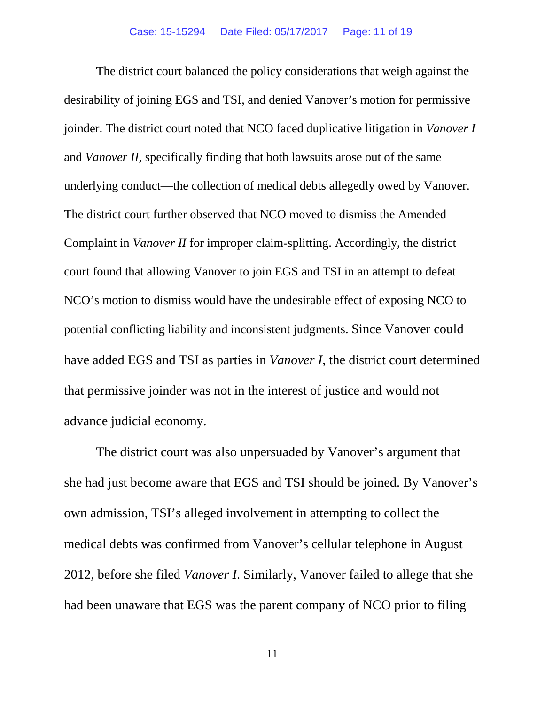The district court balanced the policy considerations that weigh against the desirability of joining EGS and TSI, and denied Vanover's motion for permissive joinder. The district court noted that NCO faced duplicative litigation in *Vanover I* and *Vanover II*, specifically finding that both lawsuits arose out of the same underlying conduct—the collection of medical debts allegedly owed by Vanover. The district court further observed that NCO moved to dismiss the Amended Complaint in *Vanover II* for improper claim-splitting. Accordingly, the district court found that allowing Vanover to join EGS and TSI in an attempt to defeat NCO's motion to dismiss would have the undesirable effect of exposing NCO to potential conflicting liability and inconsistent judgments. Since Vanover could have added EGS and TSI as parties in *Vanover I*, the district court determined that permissive joinder was not in the interest of justice and would not advance judicial economy.

The district court was also unpersuaded by Vanover's argument that she had just become aware that EGS and TSI should be joined. By Vanover's own admission, TSI's alleged involvement in attempting to collect the medical debts was confirmed from Vanover's cellular telephone in August 2012, before she filed *Vanover I*. Similarly, Vanover failed to allege that she had been unaware that EGS was the parent company of NCO prior to filing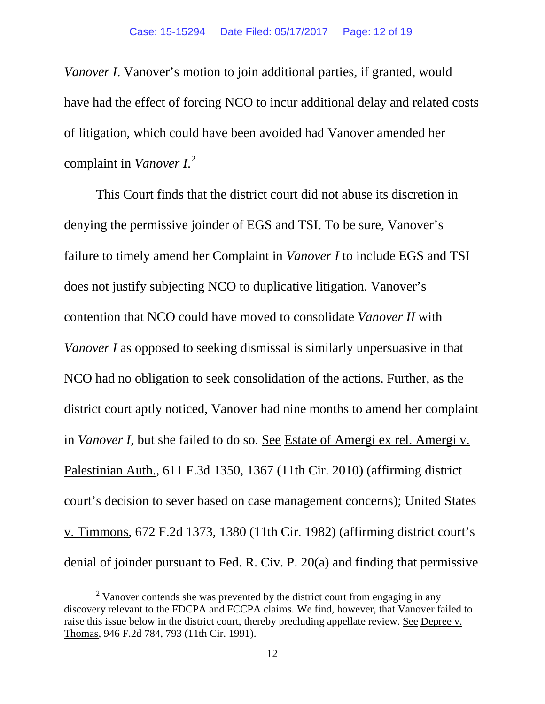*Vanover I*. Vanover's motion to join additional parties, if granted, would have had the effect of forcing NCO to incur additional delay and related costs of litigation, which could have been avoided had Vanover amended her complaint in *Vanover I*. [2](#page-11-0)

This Court finds that the district court did not abuse its discretion in denying the permissive joinder of EGS and TSI. To be sure, Vanover's failure to timely amend her Complaint in *Vanover I* to include EGS and TSI does not justify subjecting NCO to duplicative litigation. Vanover's contention that NCO could have moved to consolidate *Vanover II* with *Vanover I* as opposed to seeking dismissal is similarly unpersuasive in that NCO had no obligation to seek consolidation of the actions. Further, as the district court aptly noticed, Vanover had nine months to amend her complaint in *Vanover I*, but she failed to do so. See Estate of Amergi ex rel. Amergi v. Palestinian Auth., 611 F.3d 1350, 1367 (11th Cir. 2010) (affirming district court's decision to sever based on case management concerns); United States v. Timmons, 672 F.2d 1373, 1380 (11th Cir. 1982) (affirming district court's denial of joinder pursuant to Fed. R. Civ. P. 20(a) and finding that permissive

<span id="page-11-0"></span> $2$  Vanover contends she was prevented by the district court from engaging in any discovery relevant to the FDCPA and FCCPA claims. We find, however, that Vanover failed to raise this issue below in the district court, thereby precluding appellate review. See Depree v. Thomas, 946 F.2d 784, 793 (11th Cir. 1991).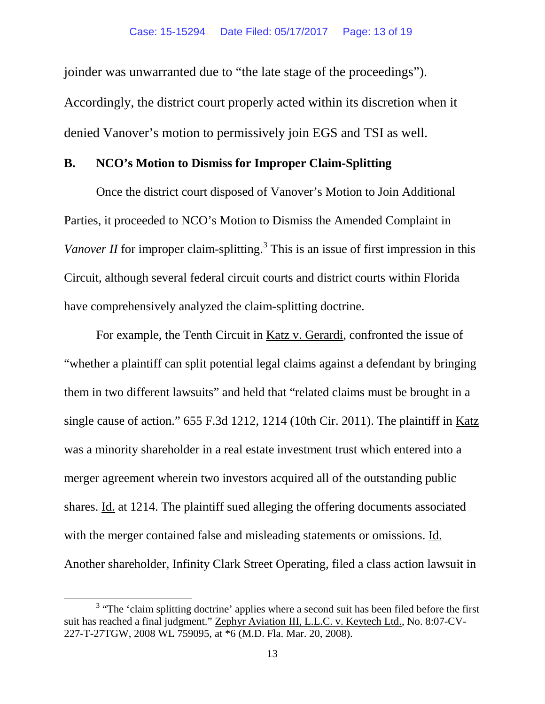joinder was unwarranted due to "the late stage of the proceedings"). Accordingly, the district court properly acted within its discretion when it denied Vanover's motion to permissively join EGS and TSI as well.

# **B. NCO's Motion to Dismiss for Improper Claim-Splitting**

Once the district court disposed of Vanover's Motion to Join Additional Parties, it proceeded to NCO's Motion to Dismiss the Amended Complaint in *Vanover II* for improper claim-splitting.<sup>[3](#page-12-0)</sup> This is an issue of first impression in this Circuit, although several federal circuit courts and district courts within Florida have comprehensively analyzed the claim-splitting doctrine.

For example, the Tenth Circuit in Katz v. Gerardi, confronted the issue of "whether a plaintiff can split potential legal claims against a defendant by bringing them in two different lawsuits" and held that "related claims must be brought in a single cause of action." 655 F.3d 1212, 1214 (10th Cir. 2011). The plaintiff in Katz was a minority shareholder in a real estate investment trust which entered into a merger agreement wherein two investors acquired all of the outstanding public shares. Id. at 1214. The plaintiff sued alleging the offering documents associated with the merger contained false and misleading statements or omissions. Id. Another shareholder, Infinity Clark Street Operating, filed a class action lawsuit in

<span id="page-12-0"></span> $3$  "The 'claim splitting doctrine' applies where a second suit has been filed before the first suit has reached a final judgment." Zephyr Aviation III, L.L.C. v. Keytech Ltd., No. 8:07-CV-227-T-27TGW, 2008 WL 759095, at \*6 (M.D. Fla. Mar. 20, 2008).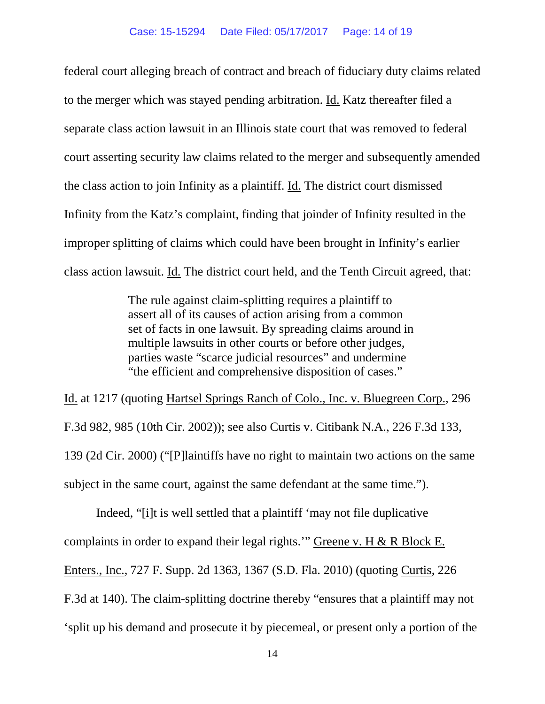federal court alleging breach of contract and breach of fiduciary duty claims related to the merger which was stayed pending arbitration. Id. Katz thereafter filed a separate class action lawsuit in an Illinois state court that was removed to federal court asserting security law claims related to the merger and subsequently amended the class action to join Infinity as a plaintiff. Id. The district court dismissed Infinity from the Katz's complaint, finding that joinder of Infinity resulted in the improper splitting of claims which could have been brought in Infinity's earlier class action lawsuit. Id. The district court held, and the Tenth Circuit agreed, that:

> The rule against claim-splitting requires a plaintiff to assert all of its causes of action arising from a common set of facts in one lawsuit. By spreading claims around in multiple lawsuits in other courts or before other judges, parties waste "scarce judicial resources" and undermine "the efficient and comprehensive disposition of cases."

Id. at 1217 (quoting Hartsel Springs Ranch of Colo., Inc. v. Bluegreen Corp., 296 F.3d 982, 985 (10th Cir. 2002)); see also Curtis v. Citibank N.A., 226 F.3d 133, 139 (2d Cir. 2000) ("[P]laintiffs have no right to maintain two actions on the same subject in the same court, against the same defendant at the same time.").

Indeed, "[i]t is well settled that a plaintiff 'may not file duplicative complaints in order to expand their legal rights." Greene v. H & R Block E. Enters., Inc., 727 F. Supp. 2d 1363, 1367 (S.D. Fla. 2010) (quoting Curtis, 226 F.3d at 140). The claim-splitting doctrine thereby "ensures that a plaintiff may not 'split up his demand and prosecute it by piecemeal, or present only a portion of the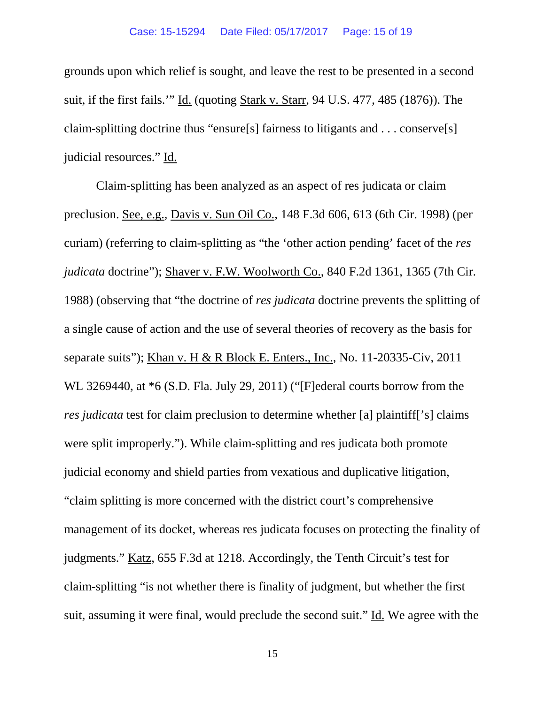grounds upon which relief is sought, and leave the rest to be presented in a second suit, if the first fails.'" Id. (quoting Stark v. Starr, 94 U.S. 477, 485 (1876)). The claim-splitting doctrine thus "ensure[s] fairness to litigants and . . . conserve[s] judicial resources." Id.

Claim-splitting has been analyzed as an aspect of res judicata or claim preclusion. See, e.g., Davis v. Sun Oil Co., 148 F.3d 606, 613 (6th Cir. 1998) (per curiam) (referring to claim-splitting as "the 'other action pending' facet of the *res judicata* doctrine"); Shaver v. F.W. Woolworth Co., 840 F.2d 1361, 1365 (7th Cir. 1988) (observing that "the doctrine of *res judicata* doctrine prevents the splitting of a single cause of action and the use of several theories of recovery as the basis for separate suits"); Khan v. H & R Block E. Enters., Inc., No. 11-20335-Civ, 2011 WL 3269440, at \*6 (S.D. Fla. July 29, 2011) ("[F]ederal courts borrow from the *res judicata* test for claim preclusion to determine whether [a] plaintiff['s] claims were split improperly."). While claim-splitting and res judicata both promote judicial economy and shield parties from vexatious and duplicative litigation, "claim splitting is more concerned with the district court's comprehensive management of its docket, whereas res judicata focuses on protecting the finality of judgments." Katz, 655 F.3d at 1218. Accordingly, the Tenth Circuit's test for claim-splitting "is not whether there is finality of judgment, but whether the first suit, assuming it were final, would preclude the second suit." Id. We agree with the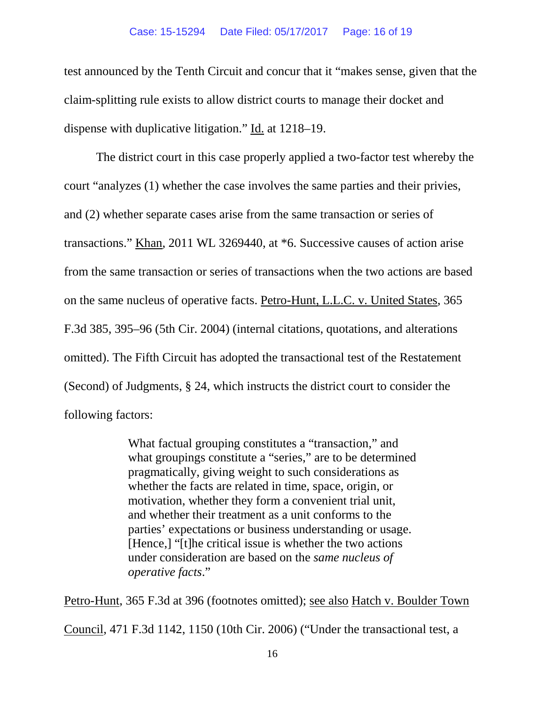test announced by the Tenth Circuit and concur that it "makes sense, given that the claim-splitting rule exists to allow district courts to manage their docket and dispense with duplicative litigation." Id. at 1218–19.

The district court in this case properly applied a two-factor test whereby the court "analyzes (1) whether the case involves the same parties and their privies, and (2) whether separate cases arise from the same transaction or series of transactions." Khan, 2011 WL 3269440, at \*6. Successive causes of action arise from the same transaction or series of transactions when the two actions are based on the same nucleus of operative facts. Petro-Hunt, L.L.C. v. United States, 365 F.3d 385, 395–96 (5th Cir. 2004) (internal citations, quotations, and alterations omitted). The Fifth Circuit has adopted the transactional test of the Restatement (Second) of Judgments, § 24, which instructs the district court to consider the following factors:

> What factual grouping constitutes a "transaction," and what groupings constitute a "series," are to be determined pragmatically, giving weight to such considerations as whether the facts are related in time, space, origin, or motivation, whether they form a convenient trial unit, and whether their treatment as a unit conforms to the parties' expectations or business understanding or usage. [Hence,] "[t]he critical issue is whether the two actions under consideration are based on the *same nucleus of operative facts*."

Petro-Hunt, 365 F.3d at 396 (footnotes omitted); see also Hatch v. Boulder Town Council, 471 F.3d 1142, 1150 (10th Cir. 2006) ("Under the transactional test, a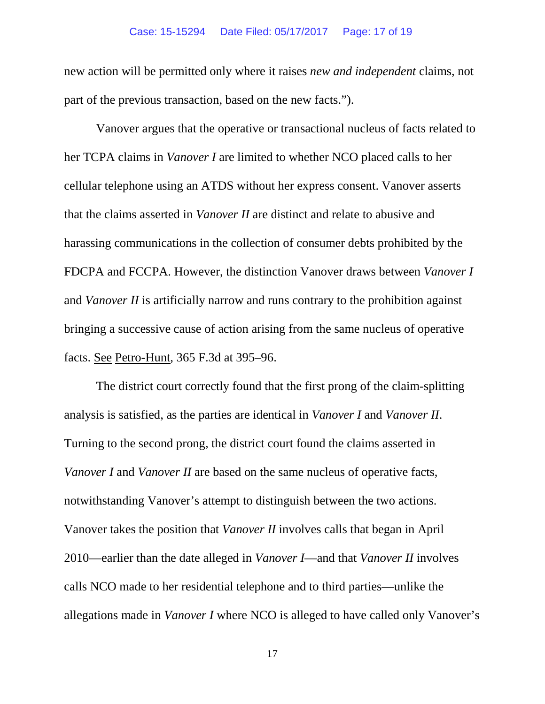#### Case: 15-15294 Date Filed: 05/17/2017 Page: 17 of 19

new action will be permitted only where it raises *new and independent* claims, not part of the previous transaction, based on the new facts.").

Vanover argues that the operative or transactional nucleus of facts related to her TCPA claims in *Vanover I* are limited to whether NCO placed calls to her cellular telephone using an ATDS without her express consent. Vanover asserts that the claims asserted in *Vanover II* are distinct and relate to abusive and harassing communications in the collection of consumer debts prohibited by the FDCPA and FCCPA. However, the distinction Vanover draws between *Vanover I*  and *Vanover II* is artificially narrow and runs contrary to the prohibition against bringing a successive cause of action arising from the same nucleus of operative facts. See Petro-Hunt, 365 F.3d at 395–96.

The district court correctly found that the first prong of the claim-splitting analysis is satisfied, as the parties are identical in *Vanover I* and *Vanover II*. Turning to the second prong, the district court found the claims asserted in *Vanover I* and *Vanover II* are based on the same nucleus of operative facts, notwithstanding Vanover's attempt to distinguish between the two actions. Vanover takes the position that *Vanover II* involves calls that began in April 2010—earlier than the date alleged in *Vanover I*—and that *Vanover II* involves calls NCO made to her residential telephone and to third parties—unlike the allegations made in *Vanover I* where NCO is alleged to have called only Vanover's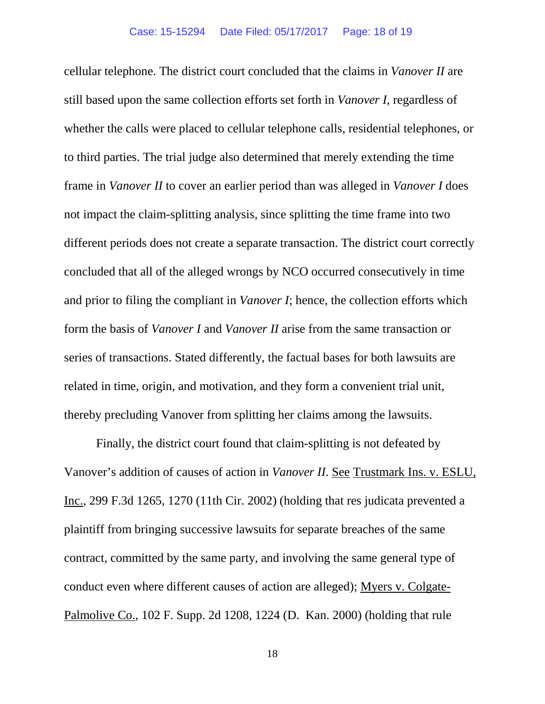cellular telephone. The district court concluded that the claims in *Vanover II* are still based upon the same collection efforts set forth in *Vanover I*, regardless of whether the calls were placed to cellular telephone calls, residential telephones, or to third parties. The trial judge also determined that merely extending the time frame in *Vanover II* to cover an earlier period than was alleged in *Vanover I* does not impact the claim-splitting analysis, since splitting the time frame into two different periods does not create a separate transaction. The district court correctly concluded that all of the alleged wrongs by NCO occurred consecutively in time and prior to filing the compliant in *Vanover I*; hence, the collection efforts which form the basis of *Vanover I* and *Vanover II* arise from the same transaction or series of transactions. Stated differently, the factual bases for both lawsuits are related in time, origin, and motivation, and they form a convenient trial unit, thereby precluding Vanover from splitting her claims among the lawsuits.

Finally, the district court found that claim-splitting is not defeated by Vanover's addition of causes of action in *Vanover II*. See Trustmark Ins. v. ESLU, Inc., 299 F.3d 1265, 1270 (11th Cir. 2002) (holding that res judicata prevented a plaintiff from bringing successive lawsuits for separate breaches of the same contract, committed by the same party, and involving the same general type of conduct even where different causes of action are alleged); Myers v. Colgate-Palmolive Co., 102 F. Supp. 2d 1208, 1224 (D. Kan. 2000) (holding that rule